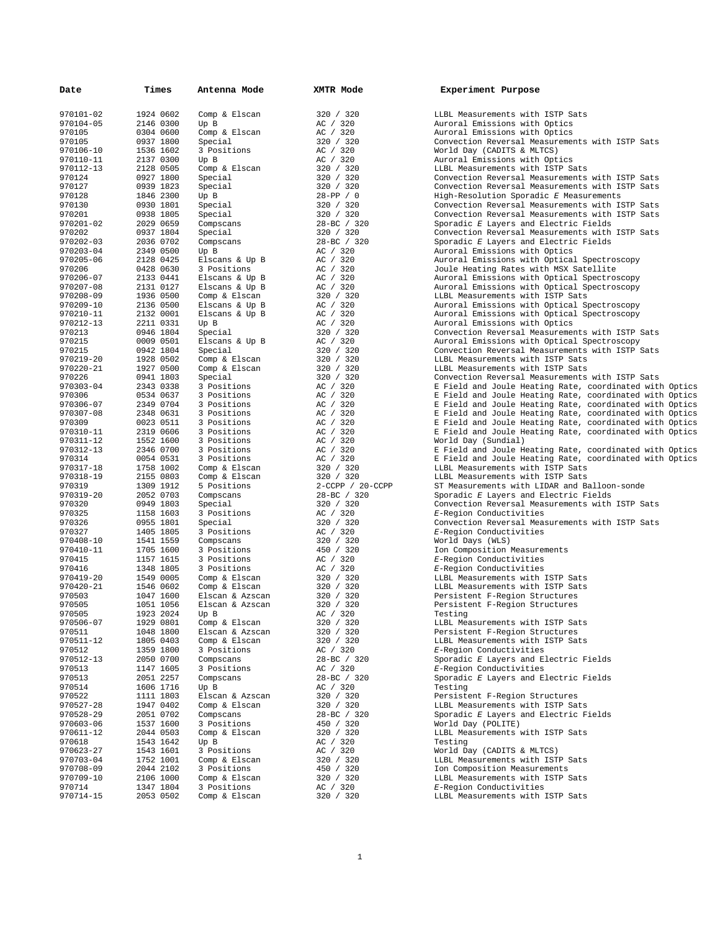| Date                   | Times                  | Antenna Mode                    | XMTR Mode              | Experiment Purpose                                                               |
|------------------------|------------------------|---------------------------------|------------------------|----------------------------------------------------------------------------------|
|                        |                        |                                 |                        |                                                                                  |
| 970101-02              | 1924 0602              | Comp & Elscan                   | 320 / 320              | LLBL Measurements with ISTP Sats                                                 |
| 970104-05              | 2146 0300              | Up B                            | AC / 320               | Auroral Emissions with Optics                                                    |
| 970105<br>970105       | 0304 0600<br>0937 1800 | Comp & Elscan<br>Special        | AC / 320<br>320 / 320  | Auroral Emissions with Optics<br>Convection Reversal Measurements with ISTP Sats |
| 970106-10              | 1536 1602              | 3 Positions                     | AC / 320               | World Day (CADITS & MLTCS)                                                       |
| 970110-11              | 2137 0300              | Up B                            | AC / 320               | Auroral Emissions with Optics                                                    |
| 970112-13              | 2128 0505              | Comp & Elscan                   | 320 / 320              | LLBL Measurements with ISTP Sats                                                 |
| 970124                 | 0927 1800              | Special                         | 320 / 320              | Convection Reversal Measurements with ISTP Sats                                  |
| 970127                 | 0939 1823              | Special                         | 320 / 320              | Convection Reversal Measurements with ISTP Sats                                  |
| 970128                 | 1846 2300              | Up B                            | 28-PP / 0              | High-Resolution Sporadic E Measurements                                          |
| 970130                 | 0930 1801              | Special                         | 320 / 320              | Convection Reversal Measurements with ISTP Sats                                  |
| 970201                 | 0938 1805              | Special                         | 320 / 320              | Convection Reversal Measurements with ISTP Sats                                  |
| 970201-02              | 2029 0659              | Compscans                       | 28-BC / 320            | Sporadic E Layers and Electric Fields                                            |
| 970202                 | 0937 1804              | Special                         | 320 / 320              | Convection Reversal Measurements with ISTP Sats                                  |
| 970202-03              | 2036 0702              | Compscans                       | 28-BC / 320            | Sporadic E Layers and Electric Fields                                            |
| 970203-04              | 2349 0500              | Up B                            | AC / 320               | Auroral Emissions with Optics                                                    |
| 970205-06              | 2128 0425              | Elscans & Up B                  | AC / 320               | Auroral Emissions with Optical Spectroscopy                                      |
| 970206                 | 0428 0630              | 3 Positions                     | AC / 320               | Joule Heating Rates with MSX Satellite                                           |
| 970206-07              | 2133 0441              | Elscans & Up B                  | AC / 320               | Auroral Emissions with Optical Spectroscopy                                      |
| 970207-08              | 2131 0127              | Elscans & Up B                  | AC / 320               | Auroral Emissions with Optical Spectroscopy                                      |
| 970208-09<br>970209-10 | 1936 0500<br>2136 0500 | Comp & Elscan<br>Elscans & Up B | 320 / 320<br>AC / 320  | LLBL Measurements with ISTP Sats<br>Auroral Emissions with Optical Spectroscopy  |
| 970210-11              | 2132 0001              | Elscans & Up B                  | AC / 320               | Auroral Emissions with Optical Spectroscopy                                      |
| 970212-13              | 2211 0331              | Up B                            | AC / 320               | Auroral Emissions with Optics                                                    |
| 970213                 | 0946 1804              | Special                         | 320 / 320              | Convection Reversal Measurements with ISTP Sats                                  |
| 970215                 | 0009 0501              | Elscans & Up B                  | AC / 320               | Auroral Emissions with Optical Spectroscopy                                      |
| 970215                 | 0942 1804              | Special                         | 320 / 320              | Convection Reversal Measurements with ISTP Sats                                  |
| 970219-20              | 1928 0502              | Comp & Elscan                   | 320 / 320              | LLBL Measurements with ISTP Sats                                                 |
| 970220-21              | 1927 0500              | Comp & Elscan                   | 320 / 320              | LLBL Measurements with ISTP Sats                                                 |
| 970226                 | 0941 1803              | Special                         | 320 / 320              | Convection Reversal Measurements with ISTP Sats                                  |
| 970303-04              | 2343 0338              | 3 Positions                     | AC / 320               | E Field and Joule Heating Rate, coordinated with Optics                          |
| 970306                 | 0534 0637              | 3 Positions                     | AC / 320               | E Field and Joule Heating Rate, coordinated with Optics                          |
| 970306-07              | 2349 0704              | 3 Positions                     | AC / 320               | E Field and Joule Heating Rate, coordinated with Optics                          |
| 970307-08              | 2348 0631              | 3 Positions                     | AC / 320               | E Field and Joule Heating Rate, coordinated with Optics                          |
| 970309                 | 0023 0511              | 3 Positions                     | AC / 320               | E Field and Joule Heating Rate, coordinated with Optics                          |
| 970310-11              | 2319 0606              | 3 Positions                     | AC / 320               | E Field and Joule Heating Rate, coordinated with Optics                          |
| 970311-12<br>970312-13 | 1552 1600<br>2346 0700 | 3 Positions<br>3 Positions      | AC / 320<br>AC / 320   | World Day (Sundial)<br>E Field and Joule Heating Rate, coordinated with Optics   |
| 970314                 | 0054 0531              | 3 Positions                     | AC / 320               | E Field and Joule Heating Rate, coordinated with Optics                          |
| 970317-18              | 1758 1002              | Comp & Elscan                   | 320 / 320              | LLBL Measurements with ISTP Sats                                                 |
| 970318-19              | 2155 0803              | Comp & Elscan                   | 320 / 320              | LLBL Measurements with ISTP Sats                                                 |
| 970319                 | 1309 1912              | 5 Positions                     | 2-CCPP / 20-CCPP       | ST Measurements with LIDAR and Balloon-sonde                                     |
| 970319-20              | 2052 0703              | Compscans                       | 28-BC / 320            | Sporadic E Layers and Electric Fields                                            |
| 970320                 | 0949 1803              | Special                         | 320 / 320              | Convection Reversal Measurements with ISTP Sats                                  |
| 970325                 | 1158 1603              | 3 Positions                     | AC / 320               | E-Region Conductivities                                                          |
| 970326                 | 0955 1801              | Special                         | 320 / 320              | Convection Reversal Measurements with ISTP Sats                                  |
| 970327                 | 1405 1805              | 3 Positions                     | AC / 320               | E-Region Conductivities                                                          |
| 970408-10              | 1541 1559              | Compscans                       | 320 / 320              | World Days (WLS)                                                                 |
| 970410-11              | 1705 1600              | 3 Positions                     | 450 / 320              | Ion Composition Measurements                                                     |
| 970415                 | 1157 1615              | 3 Positions                     | AC / 320               | E-Region Conductivities                                                          |
| 970416                 | 1348 1805              | 3 Positions                     | AC / 320               | E-Region Conductivities                                                          |
| 970419-20<br>970420-21 | 1549 0005<br>1546 0602 | Comp & Elscan<br>Comp & Elscan  | 320 / 320<br>320 / 320 | LLBL Measurements with ISTP Sats<br>LLBL Measurements with ISTP Sats             |
| 970503                 | 1047 1600              | Elscan & Azscan                 | 320 / 320              | Persistent F-Region Structures                                                   |
| 970505                 | 1051 1056              | Elscan & Azscan                 | 320 / 320              | Persistent F-Region Structures                                                   |
| 970505                 | 1923 2024              | Up B                            | AC / 320               | Testing                                                                          |
| 970506-07              | 1929 0801              | Comp & Elscan                   | 320 / 320              | LLBL Measurements with ISTP Sats                                                 |
| 970511                 | 1048 1800              | Elscan & Azscan                 | 320 / 320              | Persistent F-Region Structures                                                   |
| 970511-12              | 1805 0403              | Comp & Elscan                   | 320 / 320              | LLBL Measurements with ISTP Sats                                                 |
| 970512                 | 1359 1800              | 3 Positions                     | AC / 320               | E-Region Conductivities                                                          |
| 970512-13              | 2050 0700              | Compscans                       | 28-BC / 320            | Sporadic E Layers and Electric Fields                                            |
| 970513                 | 1147 1605              | 3 Positions                     | AC / 320               | E-Region Conductivities                                                          |
| 970513                 | 2051 2257              | Compscans                       | 28-BC / 320            | Sporadic E Layers and Electric Fields                                            |
| 970514                 | 1606 1716              | Up B                            | AC / 320               | Testing                                                                          |
| 970522                 | 1111 1803              | Elscan & Azscan                 | 320 / 320              | Persistent F-Region Structures                                                   |
| 970527-28              | 1947 0402              | Comp & Elscan                   | 320 / 320              | LLBL Measurements with ISTP Sats                                                 |
| 970528-29              | 2051 0702              | Compscans                       | 28-BC / 320            | Sporadic E Layers and Electric Fields                                            |
| 970603-06<br>970611-12 | 1537 1600<br>2044 0503 | 3 Positions<br>Comp & Elscan    | 450 / 320<br>320 / 320 | World Day (POLITE)<br>LLBL Measurements with ISTP Sats                           |
| 970618                 | 1543 1642              | Up B                            | AC / 320               | Testing                                                                          |
| 970623-27              | 1543 1601              | 3 Positions                     | AC / 320               | World Day (CADITS & MLTCS)                                                       |
| 970703-04              | 1752 1001              | Comp & Elscan                   | 320 / 320              | LLBL Measurements with ISTP Sats                                                 |
| 970708-09              | 2044 2102              | 3 Positions                     | 450 / 320              | Ion Composition Measurements                                                     |
| 970709-10              | 2106 1000              | Comp & Elscan                   | 320 / 320              | LLBL Measurements with ISTP Sats                                                 |
| 970714                 | 1347 1804              | 3 Positions                     | AC / 320               | E-Region Conductivities                                                          |
| 970714-15              | 2053 0502              | Comp & Elscan                   | 320 / 320              | LLBL Measurements with ISTP Sats                                                 |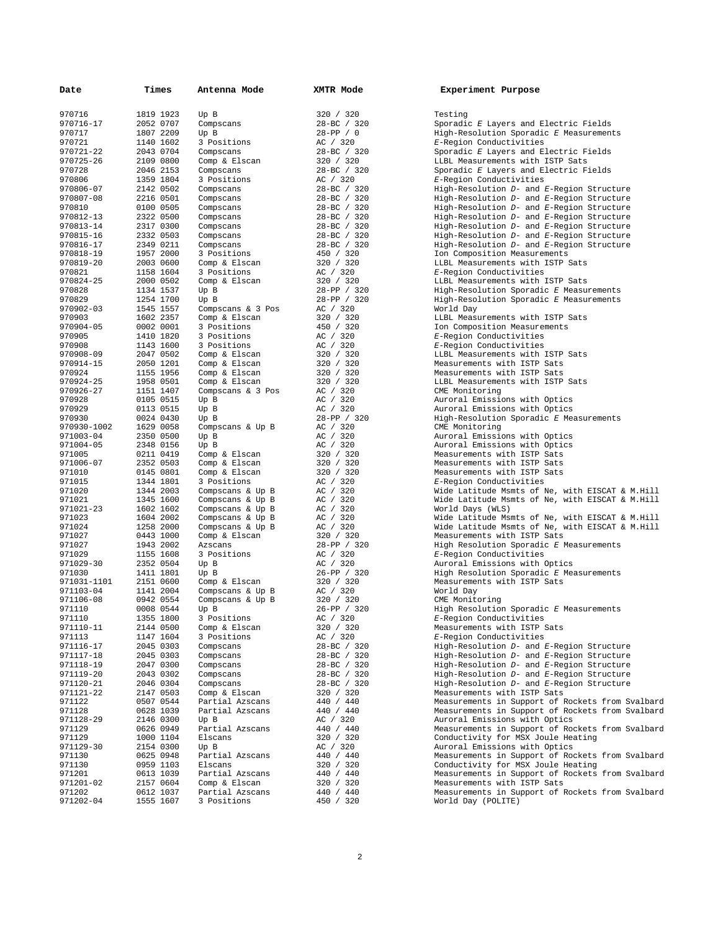| Date                | Times                  | Antenna Mode            | XMTR Mode             | Experiment Purpose                                                                |
|---------------------|------------------------|-------------------------|-----------------------|-----------------------------------------------------------------------------------|
|                     |                        |                         |                       |                                                                                   |
| 970716              | 1819 1923              | Up B                    | 320 / 320             | Testing                                                                           |
| 970716-17           | 2052 0707              | Compscans               | 28-BC / 320           | Sporadic E Layers and Electric Fields                                             |
| 970717              | 1807 2209              | Up B                    | $28 - PP / 0$         | $High-Resolution$ Sporadic $E$ Measurements                                       |
| 970721              | 1140 1602              | 3 Positions             | AC / 320              | E-Region Conductivities                                                           |
| 970721-22           | 2043 0704              | Compscans               | 28-BC / 320           | Sporadic E Layers and Electric Fields                                             |
| 970725-26           | 2109 0800              | Comp & Elscan           | 320 / 320             | LLBL Measurements with ISTP Sats                                                  |
| 970728              | 2046 2153              | Compscans               | 28-BC / 320           | Sporadic E Layers and Electric Fields                                             |
| 970806              | 1359 1804              | 3 Positions             | AC / 320              | E-Region Conductivities                                                           |
| 970806-07           | 2142 0502              | Compscans               | 28-BC / 320           | High-Resolution D- and E-Region Structure                                         |
| 970807-08           | 2216 0501              | Compscans               | 28-BC / 320           | High-Resolution D- and E-Region Structure                                         |
| 970810              | 0100 0505              | Compscans               | 28-BC / 320           | High-Resolution D- and E-Region Structure                                         |
| 970812-13           | 2322 0500              | Compscans               | 28-BC / 320           | High-Resolution D- and E-Region Structure                                         |
| 970813-14           | 2317 0300              | Compscans               | 28-BC / 320           | High-Resolution D- and E-Region Structure                                         |
| 970815-16           | 2332 0503              | Compscans               | 28-BC / 320           | High-Resolution D- and E-Region Structure                                         |
| 970816-17           | 2349 0211              | Compscans               | 28-BC / 320           | High-Resolution D- and E-Region Structure                                         |
| 970818-19           | 1957 2000              | 3 Positions             | 450 / 320             | Ion Composition Measurements                                                      |
| 970819-20           | 2003 0600              | Comp & Elscan           | 320 / 320             | LLBL Measurements with ISTP Sats                                                  |
| 970821              | 1158 1604              | 3 Positions             | AC / 320              | E-Region Conductivities                                                           |
| 970824-25           | 2000 0502              | Comp & Elscan           | 320 / 320             | LLBL Measurements with ISTP Sats                                                  |
| 970828              | 1134 1537              | Up B                    | 28-PP / 320           | High-Resolution Sporadic E Measurements                                           |
| 970829              | 1254 1700              | Up B                    | 28-PP / 320           | High-Resolution Sporadic E Measurements                                           |
| 970902-03           | 1545 1557              | Compscans & 3 Pos       | AC / 320              | World Day                                                                         |
| 970903              | 1602 2357              | Comp & Elscan           | 320 / 320             | LLBL Measurements with ISTP Sats                                                  |
| 970904-05           | 0002 0001              | 3 Positions             | 450 / 320             | Ion Composition Measurements                                                      |
| 970905              | 1410 1820              | 3 Positions             | AC / 320              | E-Region Conductivities                                                           |
| 970908              | 1143 1600              | 3 Positions             | AC / 320              | E-Region Conductivities                                                           |
| 970908-09           | 2047 0502              | Comp & Elscan           | 320 / 320             | LLBL Measurements with ISTP Sats                                                  |
| 970914-15           | 2050 1201              | Comp & Elscan           | 320 / 320             | Measurements with ISTP Sats                                                       |
| 970924              | 1155 1956              | Comp & Elscan           | 320 / 320             | Measurements with ISTP Sats                                                       |
| 970924-25           | 1958 0501              | Comp & Elscan           | 320 / 320             | LLBL Measurements with ISTP Sats                                                  |
| 970926-27           | 1151 1407              | Compscans & 3 Pos       | AC / 320              | CME Monitoring                                                                    |
| 970928              | 0105 0515              | Up B                    | AC / 320              | Auroral Emissions with Optics                                                     |
| 970929              | 0113 0515              | Up B                    | AC / 320              | Auroral Emissions with Optics                                                     |
| 970930              | 0024 0430              | Up B                    | 28-PP / 320           | High-Resolution Sporadic E Measurements                                           |
| 970930-1002         | 1629 0058              | Compscans & Up B        | AC / 320              | CME Monitoring                                                                    |
| 971003-04           | 2350 0500              | Up B                    | AC / 320              | Auroral Emissions with Optics                                                     |
| 971004-05           | 2348 0156              | Up B                    | AC / 320              | Auroral Emissions with Optics                                                     |
| 971005              | 0211 0419              | Comp & Elscan           | 320 / 320             | Measurements with ISTP Sats                                                       |
| 971006-07           | 2352 0503              | Comp & Elscan           | 320 / 320             | Measurements with ISTP Sats                                                       |
| 971010              | 0145 0801              | Comp & Elscan           | 320 / 320             | Measurements with ISTP Sats                                                       |
| 971015              | 1344 1801              | 3 Positions             | AC / 320              | E-Region Conductivities                                                           |
| 971020              | 1344 2003              | Compscans & Up B        | AC / 320              | Wide Latitude Msmts of Ne, with EISCAT & M.Hill                                   |
| 971021              | 1345 1600              | Compscans & Up B        | AC / 320              | Wide Latitude Msmts of Ne, with EISCAT & M.Hill                                   |
| 971021-23           | 1602 1602              | Compscans & Up B        | AC / 320              | World Days (WLS)                                                                  |
| 971023              | 1604 2002              | Compscans & Up B        | AC / 320              | Wide Latitude Msmts of Ne, with EISCAT & M.Hill                                   |
| 971024              | 1258 2000              | Compscans & Up B        | AC / 320              | Wide Latitude Msmts of Ne, with EISCAT & M.Hill                                   |
| 971027              | 0443 1000              | Comp & Elscan           | 320 / 320             | Measurements with ISTP Sats                                                       |
| 971027              | 1943 2002              | Azscans                 | 28-PP / 320           | High Resolution Sporadic E Measurements                                           |
| 971029              | 1155 1608              | 3 Positions             | AC / 320              | E-Region Conductivities                                                           |
| 971029-30           | 2352 0504              | Up B                    | AC / 320              | Auroral Emissions with Optics                                                     |
| 971030              | 1411 1801              | Up B                    | 26-PP / 320           | High Resolution Sporadic E Measurements                                           |
| 971031-1101         | 2151 0600              | Comp & Elscan           | 320 / 320             | Measurements with ISTP Sats                                                       |
| 971103-04           | 1141 2004              | Compscans & Up B        | AC / 320              | World Day                                                                         |
| 971106-08           | 0942 0554              | Compscans & Up B        | 320 / 320             | CME Monitoring                                                                    |
| 971110              | 0008 0544              | Up B                    | 26-PP / 320           | High Resolution Sporadic E Measurements                                           |
| 971110              | 1355 1800              | 3 Positions             | AC / 320              | E-Region Conductivities                                                           |
| 971110-11           | 2144 0500              | Comp & Elscan           | 320 / 320             | Measurements with ISTP Sats                                                       |
| 971113              | 1147 1604              | 3 Positions             | AC / 320              | E-Region Conductivities                                                           |
| 971116-17           | 2045 0303              | Compscans               | 28-BC / 320           | High-Resolution D- and E-Region Structure                                         |
| 971117-18           | 2045 0303              | Compscans               | 28-BC / 320           | High-Resolution D- and E-Region Structure                                         |
| 971118-19           | 2047 0300              | Compscans               | 28-BC / 320           | High-Resolution D- and E-Region Structure                                         |
| 971119-20           | 2043 0302              | Compscans               | 28-BC / 320           | High-Resolution D- and E-Region Structure                                         |
| 971120-21           | 2046 0304              | Compscans               | 28-BC / 320           | High-Resolution D- and E-Region Structure                                         |
| 971121-22           | 2147 0503              | Comp & Elscan           | 320 / 320             | Measurements with ISTP Sats                                                       |
| 971122              | 0507 0544              | Partial Azscans         | 440 / 440             | Measurements in Support of Rockets from Svalbard                                  |
| 971128              | 0628 1039              | Partial Azscans         | 440 / 440             | Measurements in Support of Rockets from Svalbard                                  |
| 971128-29<br>971129 | 2146 0300<br>0626 0949 | Up B<br>Partial Azscans | AC / 320<br>440 / 440 | Auroral Emissions with Optics<br>Measurements in Support of Rockets from Svalbard |
| 971129              | 1000 1104              | Elscans                 | 320 / 320             | Conductivity for MSX Joule Heating                                                |
| 971129-30           | 2154 0300              | Up B                    | AC / 320              | Auroral Emissions with Optics                                                     |
| 971130              | 0625 0948              | Partial Azscans         | 440 / 440             | Measurements in Support of Rockets from Svalbard                                  |
| 971130              | 0959 1103              | Elscans                 | 320 / 320             | Conductivity for MSX Joule Heating                                                |
| 971201              | 0613 1039              | Partial Azscans         | 440 / 440             | Measurements in Support of Rockets from Svalbard                                  |
| 971201-02           | 2157 0604              | Comp & Elscan           | 320 / 320             | Measurements with ISTP Sats                                                       |
| 971202              | 0612 1037              | Partial Azscans         | 440 / 440             | Measurements in Support of Rockets from Svalbard                                  |
| 971202-04           | 1555 1607              | 3 Positions             | 450 / 320             | World Day (POLITE)                                                                |